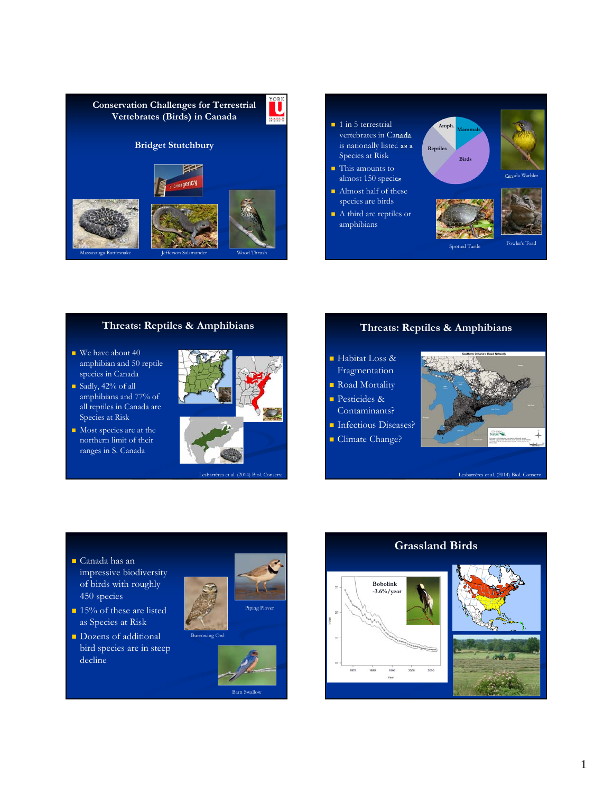



# **Threats: Reptiles & Amphibians**

- $\blacksquare$  We have about 40 amphibian and 50 reptile species in Canada
- Sadly, 42% of all amphibians and 77% of all reptiles in Canada are Species at Risk
- Most species are at the northern limit of their ranges in S. Canada



## **Threats: Reptiles & Amphibians**

- Habitat Loss & **Fragmentation**
- Road Mortality
- Pesticides & Contaminants?
- **Infectious Diseases?**
- **Climate Change?**



Lesbarrères et al. (2014) Biol. Con

- Canada has an impressive biodiversity of birds with roughly 450 species
- <sup>15%</sup> of these are listed as Species at Risk
- **Dozens of additional** bird species are in steep decline



Barn Swallow

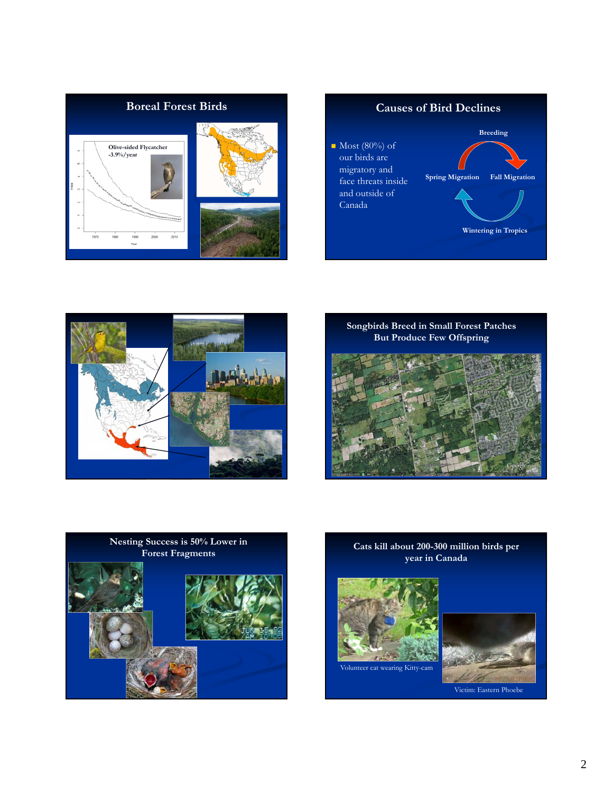









**Forest Fragments Cats kill about 200-300 million birds per year in Canada**







Victim: Eastern Phoebe